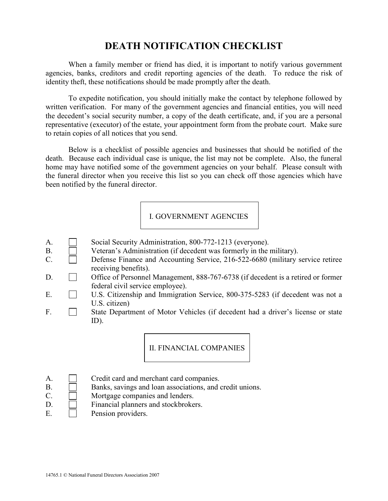## DEATH NOTIFICATION CHECKLIST

When a family member or friend has died, it is important to notify various government agencies, banks, creditors and credit reporting agencies of the death. To reduce the risk of identity theft, these notifications should be made promptly after the death.

To expedite notification, you should initially make the contact by telephone followed by written verification. For many of the government agencies and financial entities, you will need the decedent's social security number, a copy of the death certificate, and, if you are a personal representative (executor) of the estate, your appointment form from the probate court. Make sure to retain copies of all notices that you send.

Below is a checklist of possible agencies and businesses that should be notified of the death. Because each individual case is unique, the list may not be complete. Also, the funeral home may have notified some of the government agencies on your behalf. Please consult with the funeral director when you receive this list so you can check off those agencies which have been notified by the funeral director.

## I. GOVERNMENT AGENCIES

- A. Social Security Administration, 800-772-1213 (everyone).
- B. Veteran's Administration (if decedent was formerly in the military).
- C. Defense Finance and Accounting Service, 216-522-6680 (military service retiree receiving benefits).
- D. **Collective Office of Personnel Management, 888-767-6738** (if decedent is a retired or former federal civil service employee).
- E.  $\Box$  U.S. Citizenship and Immigration Service, 800-375-5283 (if decedent was not a U.S. citizen)
- F. State Department of Motor Vehicles (if decedent had a driver's license or state  $ID$ ).

II. FINANCIAL COMPANIES

- A. Credit card and merchant card companies.
- B.  $\Box$  Banks, savings and loan associations, and credit unions.
- C. Mortgage companies and lenders.
- D. Financial planners and stockbrokers.
- E. **Pension providers.**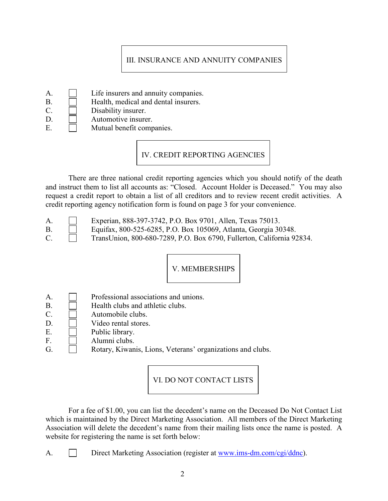## III. INSURANCE AND ANNUITY COMPANIES

- A. **I** Life insurers and annuity companies.
- B. **Health, medical and dental insurers.**
- C. Disability insurer.
- D. Automotive insurer.
- E. Mutual benefit companies.

IV. CREDIT REPORTING AGENCIES

There are three national credit reporting agencies which you should notify of the death and instruct them to list all accounts as: "Closed. Account Holder is Deceased." You may also request a credit report to obtain a list of all creditors and to review recent credit activities. A credit reporting agency notification form is found on page 3 for your convenience.

A. Experian, 888-397-3742, P.O. Box 9701, Allen, Texas 75013.

- B. Equifax, 800-525-6285, P.O. Box 105069, Atlanta, Georgia 30348.
- C. TransUnion, 800-680-7289, P.O. Box 6790, Fullerton, California 92834.

V. MEMBERSHIPS

- A. Professional associations and unions.
- B. **Health clubs and athletic clubs.**
- C. Automobile clubs.
- $D.$   $\Box$  Video rental stores.
- E. Public library.
- F. **Numni** clubs.
- G. **C.** Rotary, Kiwanis, Lions, Veterans' organizations and clubs.

VI. DO NOT CONTACT LISTS

For a fee of \$1.00, you can list the decedent's name on the Deceased Do Not Contact List which is maintained by the Direct Marketing Association. All members of the Direct Marketing Association will delete the decedent's name from their mailing lists once the name is posted. A website for registering the name is set forth below:

A. Direct Marketing Association (register at www.ims-dm.com/cgi/ddnc).